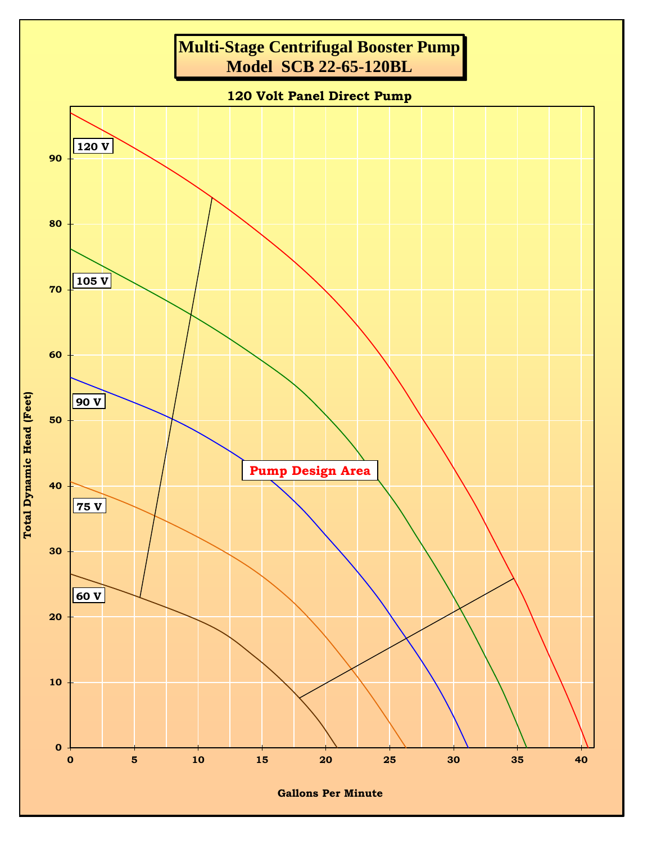